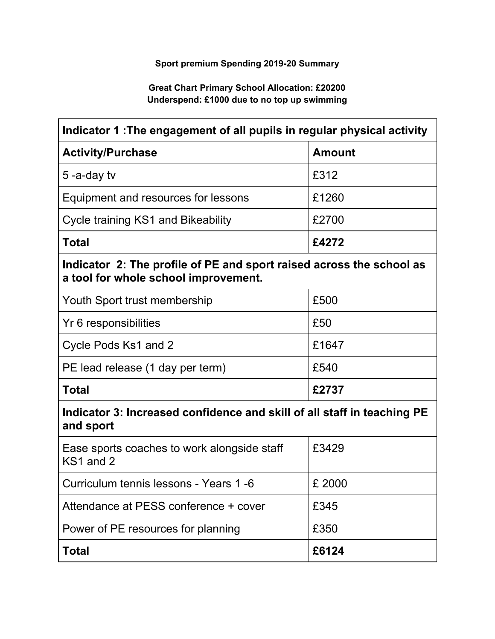## **Sport premium Spending 2019-20 Summary**

## **Great Chart Primary School Allocation: £20200 Underspend: £1000 due to no top up swimming**

| Indicator 1: The engagement of all pupils in regular physical activity                                       |               |  |
|--------------------------------------------------------------------------------------------------------------|---------------|--|
| <b>Activity/Purchase</b>                                                                                     | <b>Amount</b> |  |
| 5-a-day tv                                                                                                   | £312          |  |
| Equipment and resources for lessons                                                                          | £1260         |  |
| Cycle training KS1 and Bikeability                                                                           | £2700         |  |
| <b>Total</b>                                                                                                 | £4272         |  |
| Indicator 2: The profile of PE and sport raised across the school as<br>a tool for whole school improvement. |               |  |
| Youth Sport trust membership                                                                                 | £500          |  |
| Yr 6 responsibilities                                                                                        | £50           |  |
| Cycle Pods Ks1 and 2                                                                                         | £1647         |  |
| PE lead release (1 day per term)                                                                             | £540          |  |
| <b>Total</b>                                                                                                 | £2737         |  |
| Indicator 3: Increased confidence and skill of all staff in teaching PE<br>and sport                         |               |  |
| Ease sports coaches to work alongside staff<br>KS1 and 2                                                     | £3429         |  |
| Curriculum tennis lessons - Years 1 -6                                                                       | £ 2000        |  |
| Attendance at PESS conference + cover                                                                        | £345          |  |
| Power of PE resources for planning                                                                           | £350          |  |
| <b>Total</b>                                                                                                 | £6124         |  |